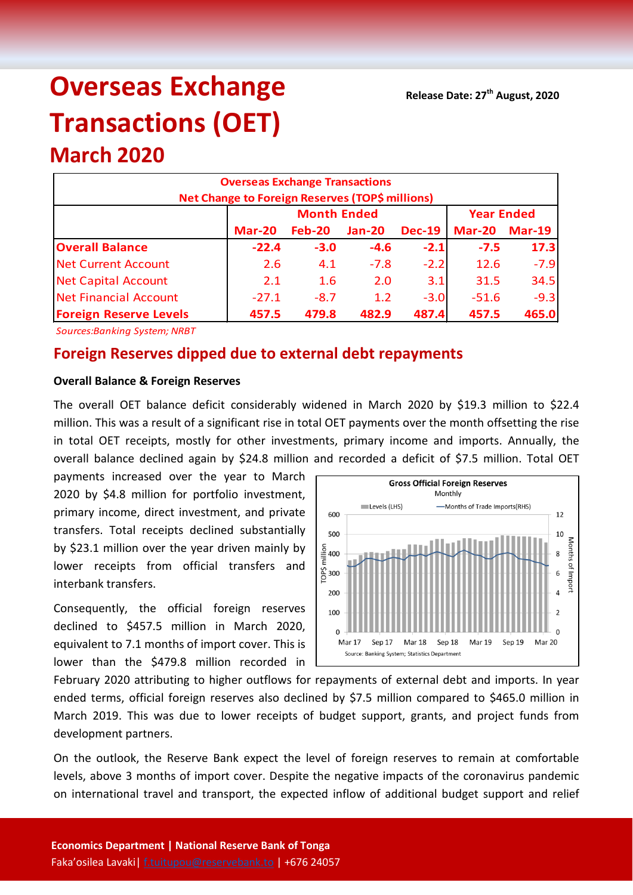# **Overseas Exchange Transactions (OET)**

## **Overseas Exchange Transactions Net Change to Foreign Reserves (TOP\$ millions) Mar-20 Feb-20 Jan-20 Dec-19 Mar-20 Mar-19 Overall Balance -22.4 -3.0 -4.6 -2.1 -7.5 17.3** Net Current Account 2.6 4.1 -7.8 -2.2 12.6 -7.9 Net Capital Account 2.1 1.6 2.0 3.1 31.5 34.5 Net Financial Account (a)  $-27.1$   $-8.7$   $1.2$   $-3.0$   $-51.6$   $-9.3$ **Foreign Reserve Levels 457.5 479.8 482.9 487.4 457.5 465.0 Month Ended Year Ended**

*Sources:Banking System; NRBT*

**March 2020**

### **Foreign Reserves dipped due to external debt repayments**

#### **Overall Balance & Foreign Reserves**

The overall OET balance deficit considerably widened in March 2020 by \$19.3 million to \$22.4 million. This was a result of a significant rise in total OET payments over the month offsetting the rise in total OET receipts, mostly for other investments, primary income and imports. Annually, the overall balance declined again by \$24.8 million and recorded a deficit of \$7.5 million. Total OET

payments increased over the year to March 2020 by \$4.8 million for portfolio investment, primary income, direct investment, and private transfers. Total receipts declined substantially by \$23.1 million over the year driven mainly by lower receipts from official transfers and interbank transfers.

Consequently, the official foreign reserves declined to \$457.5 million in March 2020, equivalent to 7.1 months of import cover. This is lower than the \$479.8 million recorded in



February 2020 attributing to higher outflows for repayments of external debt and imports. In year ended terms, official foreign reserves also declined by \$7.5 million compared to \$465.0 million in March 2019. This was due to lower receipts of budget support, grants, and project funds from development partners.

On the outlook, the Reserve Bank expect the level of foreign reserves to remain at comfortable levels, above 3 months of import cover. Despite the negative impacts of the coronavirus pandemic on international travel and transport, the expected inflow of additional budget support and relief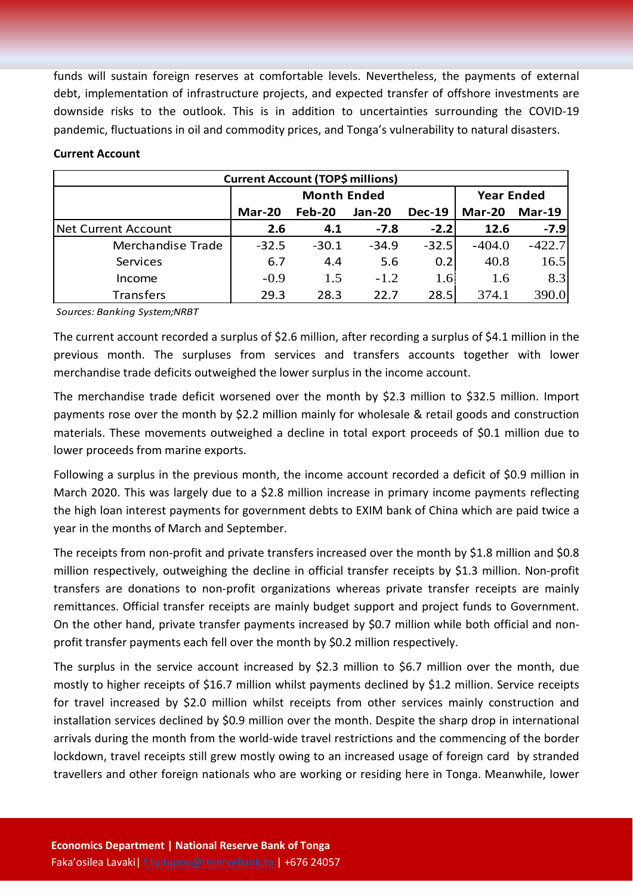funds will sustain foreign reserves at comfortable levels. Nevertheless, the payments of external debt, implementation of infrastructure projects, and expected transfer of offshore investments are downside risks to the outlook. This is in addition to uncertainties surrounding the COVID-19 pandemic, fluctuations in oil and commodity prices, and Tonga's vulnerability to natural disasters.

| <b>Current Account (TOP\$ millions)</b> |         |                    |                   |                  |               |          |  |  |  |  |
|-----------------------------------------|---------|--------------------|-------------------|------------------|---------------|----------|--|--|--|--|
|                                         |         | <b>Month Ended</b> | <b>Year Ended</b> |                  |               |          |  |  |  |  |
|                                         | Mar-20  | Feb-20             | <b>Jan-20</b>     | <b>Dec-19</b>    | <b>Mar-20</b> | Mar-19   |  |  |  |  |
| <b>Net Current Account</b>              | 2.6     | 4.1                | $-7.8$            | $-2.2$           | 12.6          | $-7.9$   |  |  |  |  |
| Merchandise Trade                       | $-32.5$ | $-30.1$            | $-34.9$           | $-32.5$          | $-404.0$      | $-422.7$ |  |  |  |  |
| Services                                | 6.7     | 4.4                | 5.6               | 0.2              | 40.8          | 16.5     |  |  |  |  |
| Income                                  | $-0.9$  | 1.5                | $-1.2$            | 1.6 <sup>l</sup> | 1.6           | 8.3      |  |  |  |  |
| <b>Transfers</b>                        | 29.3    | 28.3               | 22.7              | 28.5             | 374.1         | 390.0    |  |  |  |  |

#### **Current Account**

*Sources: Banking System;NRBT*

The current account recorded a surplus of \$2.6 million, after recording a surplus of \$4.1 million in the previous month. The surpluses from services and transfers accounts together with lower merchandise trade deficits outweighed the lower surplus in the income account.

The merchandise trade deficit worsened over the month by \$2.3 million to \$32.5 million. Import payments rose over the month by \$2.2 million mainly for wholesale & retail goods and construction materials. These movements outweighed a decline in total export proceeds of \$0.1 million due to lower proceeds from marine exports.

Following a surplus in the previous month, the income account recorded a deficit of \$0.9 million in March 2020. This was largely due to a \$2.8 million increase in primary income payments reflecting the high loan interest payments for government debts to EXIM bank of China which are paid twice a year in the months of March and September.

The receipts from non-profit and private transfers increased over the month by \$1.8 million and \$0.8 million respectively, outweighing the decline in official transfer receipts by \$1.3 million. Non-profit transfers are donations to non-profit organizations whereas private transfer receipts are mainly remittances. Official transfer receipts are mainly budget support and project funds to Government. On the other hand, private transfer payments increased by \$0.7 million while both official and nonprofit transfer payments each fell over the month by \$0.2 million respectively.

The surplus in the service account increased by \$2.3 million to \$6.7 million over the month, due mostly to higher receipts of \$16.7 million whilst payments declined by \$1.2 million. Service receipts for travel increased by \$2.0 million whilst receipts from other services mainly construction and installation services declined by \$0.9 million over the month. Despite the sharp drop in international arrivals during the month from the world-wide travel restrictions and the commencing of the border lockdown, travel receipts still grew mostly owing to an increased usage of foreign card by stranded travellers and other foreign nationals who are working or residing here in Tonga. Meanwhile, lower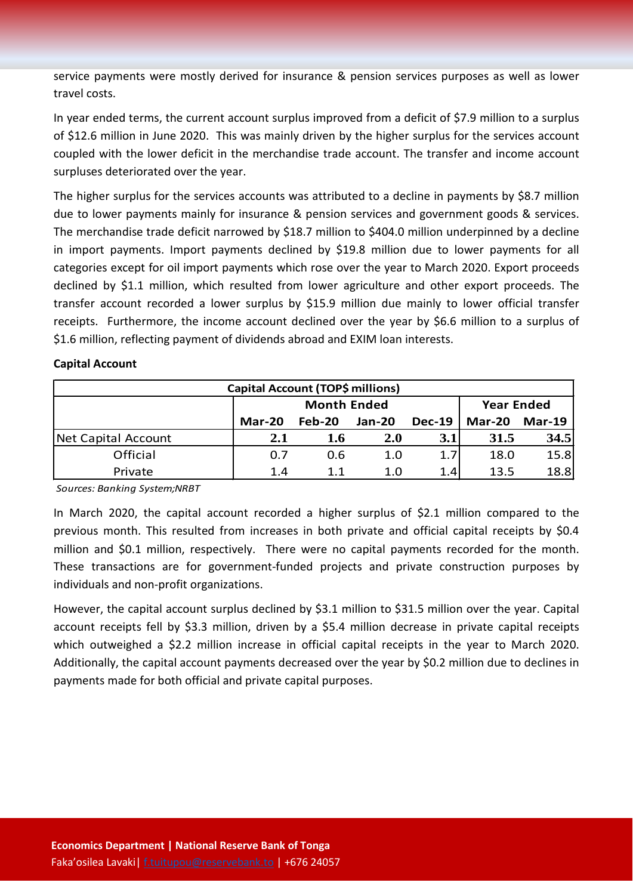service payments were mostly derived for insurance & pension services purposes as well as lower travel costs.

In year ended terms, the current account surplus improved from a deficit of \$7.9 million to a surplus of \$12.6 million in June 2020. This was mainly driven by the higher surplus for the services account coupled with the lower deficit in the merchandise trade account. The transfer and income account surpluses deteriorated over the year.

The higher surplus for the services accounts was attributed to a decline in payments by \$8.7 million due to lower payments mainly for insurance & pension services and government goods & services. The merchandise trade deficit narrowed by \$18.7 million to \$404.0 million underpinned by a decline in import payments. Import payments declined by \$19.8 million due to lower payments for all categories except for oil import payments which rose over the year to March 2020. Export proceeds declined by \$1.1 million, which resulted from lower agriculture and other export proceeds. The transfer account recorded a lower surplus by \$15.9 million due mainly to lower official transfer receipts. Furthermore, the income account declined over the year by \$6.6 million to a surplus of \$1.6 million, reflecting payment of dividends abroad and EXIM loan interests.

#### **Capital Account**

| Capital Account (TOP\$ millions) |        |                    |                   |               |               |               |  |  |  |
|----------------------------------|--------|--------------------|-------------------|---------------|---------------|---------------|--|--|--|
|                                  |        | <b>Month Ended</b> | <b>Year Ended</b> |               |               |               |  |  |  |
|                                  | Mar-20 | $Feb-20$           | <b>Jan-20</b>     | <b>Dec-19</b> | <b>Mar-20</b> | <b>Mar-19</b> |  |  |  |
| Net Capital Account              | 2.1    | 1.6                | 2.0               | 3.1           | 31.5          | 34.5          |  |  |  |
| Official                         | 0.7    | 0.6                | 1.0               | 1.7           | 18.0          | 15.8          |  |  |  |
| Private                          | 1.4    | 1.1                | 1.0               | 1.4           | 13.5          | 18.8          |  |  |  |

*Sources: Banking System;NRBT*

In March 2020, the capital account recorded a higher surplus of \$2.1 million compared to the previous month. This resulted from increases in both private and official capital receipts by \$0.4 million and \$0.1 million, respectively. There were no capital payments recorded for the month. These transactions are for government-funded projects and private construction purposes by individuals and non-profit organizations.

However, the capital account surplus declined by \$3.1 million to \$31.5 million over the year. Capital account receipts fell by \$3.3 million, driven by a \$5.4 million decrease in private capital receipts which outweighed a \$2.2 million increase in official capital receipts in the year to March 2020. Additionally, the capital account payments decreased over the year by \$0.2 million due to declines in payments made for both official and private capital purposes.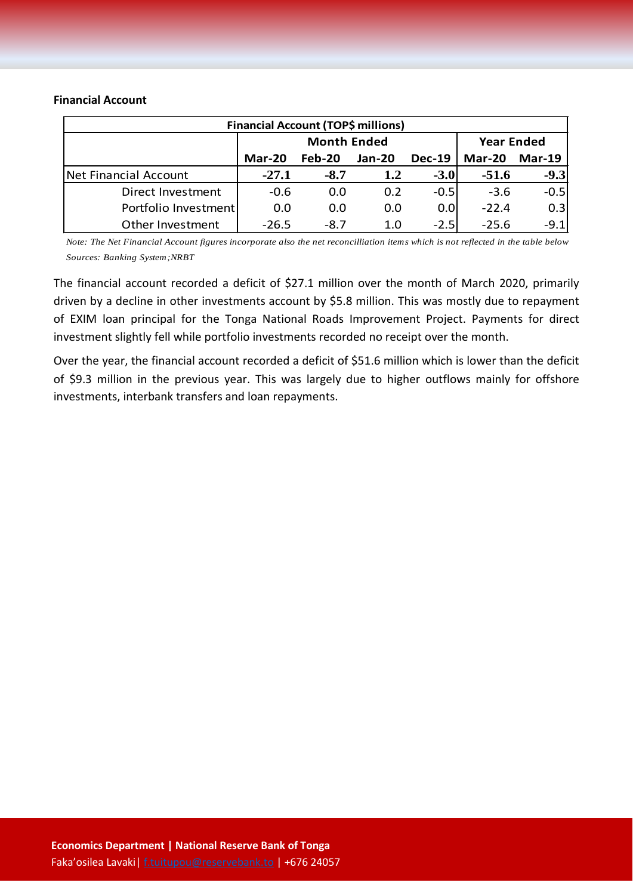#### **Financial Account**

|                       | <b>Financial Account (TOP\$ millions)</b> |                    |                   |               |               |               |
|-----------------------|-------------------------------------------|--------------------|-------------------|---------------|---------------|---------------|
|                       |                                           | <b>Month Ended</b> | <b>Year Ended</b> |               |               |               |
|                       | Mar-20                                    | Feb-20             | Jan-20            | <b>Dec-19</b> | <b>Mar-20</b> | <b>Mar-19</b> |
| Net Financial Account | $-27.1$                                   | $-8.7$             | 1.2               | $-3.0$        | $-51.6$       | $-9.3$        |
| Direct Investment     | $-0.6$                                    | 0.0                | 0.2               | $-0.5$        | $-3.6$        | $-0.5$        |
| Portfolio Investment  | 0.0                                       | 0.0                | 0.0               | 0.01          | $-22.4$       | 0.3           |
| Other Investment      | $-26.5$                                   | $-8.7$             | 1.0               | $-2.5$        | $-25.6$       | $-9.1$        |

*Note: The Net Financial Account figures incorporate also the net reconcilliation items which is not reflected in the table below Sources: Banking System;NRBT*

The financial account recorded a deficit of \$27.1 million over the month of March 2020, primarily driven by a decline in other investments account by \$5.8 million. This was mostly due to repayment of EXIM loan principal for the Tonga National Roads Improvement Project. Payments for direct investment slightly fell while portfolio investments recorded no receipt over the month.

Over the year, the financial account recorded a deficit of \$51.6 million which is lower than the deficit of \$9.3 million in the previous year. This was largely due to higher outflows mainly for offshore investments, interbank transfers and loan repayments.